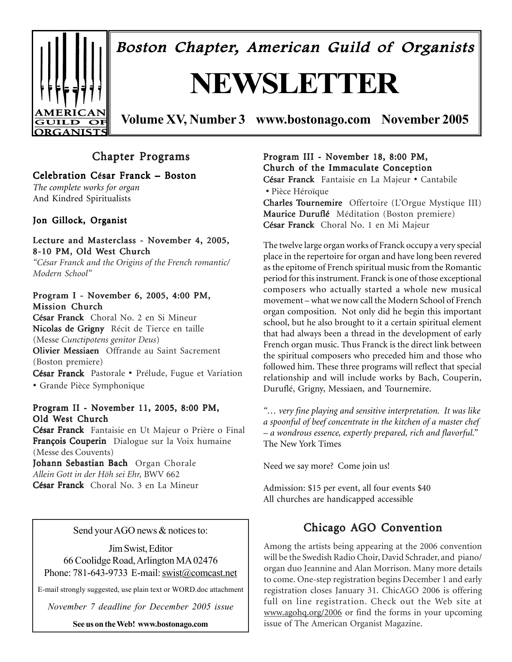

Boston Chapter, American Guild of Organists

# **NEWSLETTER**

**Volume XV, Number 3 www.bostonago.com November 2005**

## Chapter Programs

## Celebration César Franck – Boston

*The complete works for organ* And Kindred Spiritualists

## Jon Gillock, Organist

#### Lecture and Masterclass - November 4, 2005, 8-10 PM, Old West Church

*"César Franck and the Origins of the French romantic/ Modern School"*

### Program I - November 6, 2005, 4:00 PM, Mission Church

César Franck Choral No. 2 en Si Mineur Nicolas de Grigny Récit de Tierce en taille (Messe *Cunctipotens genitor Deus*) Olivier Messiaen Offrande au Saint Sacrement (Boston premiere) César Franck Pastorale • Prélude, Fugue et Variation • Grande Pièce Symphonique

#### Program II - November 11, 2005, 8:00 PM, Old West Church

César Franck Fantaisie en Ut Majeur o Prière o Final François Couperin Dialogue sur la Voix humaine (Messe des Couvents)

Johann Sebastian Bach Organ Chorale *Allein Gott in der Höh sei Ehr,* BWV 662 César Franck Choral No. 3 en La Mineur

Send your AGO news & notices to:

Jim Swist, Editor 66 Coolidge Road, Arlington MA 02476 Phone: 781-643-9733 E-mail: swist@comcast.net

E-mail strongly suggested, use plain text or WORD.doc attachment

*November 7 deadline for December 2005 issue*

**See us on the Web! www.bostonago.com**

Program III - November 18, 8:00 PM, Church of the Immaculate Conception

César Franck Franck Fantaisie en La Majeur • Cantabile • Pièce Héroïque

Charles Tournemire Offertoire (L'Orgue Mystique III) Maurice Duruflé Méditation (Boston premiere) César Franck Choral No. 1 en Mi Majeur

The twelve large organ works of Franck occupy a very special place in the repertoire for organ and have long been revered as the epitome of French spiritual music from the Romantic period for this instrument. Franck is one of those exceptional composers who actually started a whole new musical movement – what we now call the Modern School of French organ composition. Not only did he begin this important school, but he also brought to it a certain spiritual element that had always been a thread in the development of early French organ music. Thus Franck is the direct link between the spiritual composers who preceded him and those who followed him. These three programs will reflect that special relationship and will include works by Bach, Couperin, Duruflé, Grigny, Messiaen, and Tournemire.

*"… very fine playing and sensitive interpretation. It was like a spoonful of beef concentrate in the kitchen of a master chef – a wondrous essence, expertly prepared, rich and flavorful."* The New York Times

Need we say more? Come join us!

Admission: \$15 per event, all four events \$40 All churches are handicapped accessible

## Chicago AGO Convention

Among the artists being appearing at the 2006 convention will be the Swedish Radio Choir, David Schrader, and piano/ organ duo Jeannine and Alan Morrison. Many more details to come. One-step registration begins December 1 and early registration closes January 31. ChicAGO 2006 is offering full on line registration. Check out the Web site at www.agohq.org/2006 or find the forms in your upcoming issue of The American Organist Magazine.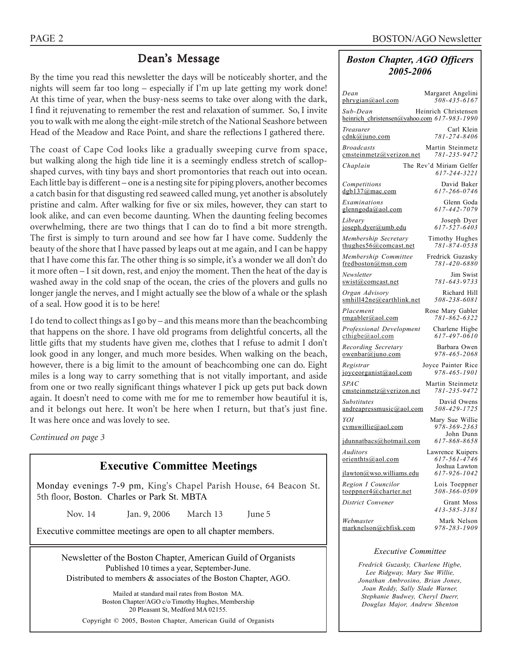## Dean's Message

By the time you read this newsletter the days will be noticeably shorter, and the nights will seem far too long – especially if I'm up late getting my work done! At this time of year, when the busy-ness seems to take over along with the dark, I find it rejuvenating to remember the rest and relaxation of summer. So, I invite you to walk with me along the eight-mile stretch of the National Seashore between Head of the Meadow and Race Point, and share the reflections I gathered there.

The coast of Cape Cod looks like a gradually sweeping curve from space, but walking along the high tide line it is a seemingly endless stretch of scallopshaped curves, with tiny bays and short promontories that reach out into ocean. Each little bay is different – one is a nesting site for piping plovers, another becomes a catch basin for that disgusting red seaweed called mung, yet another is absolutely pristine and calm. After walking for five or six miles, however, they can start to look alike, and can even become daunting. When the daunting feeling becomes overwhelming, there are two things that I can do to find a bit more strength. The first is simply to turn around and see how far I have come. Suddenly the beauty of the shore that I have passed by leaps out at me again, and I can be happy that I have come this far. The other thing is so simple, it's a wonder we all don't do it more often – I sit down, rest, and enjoy the moment. Then the heat of the day is washed away in the cold snap of the ocean, the cries of the plovers and gulls no longer jangle the nerves, and I might actually see the blow of a whale or the splash of a seal. How good it is to be here!

I do tend to collect things as I go by – and this means more than the beachcombing that happens on the shore. I have old programs from delightful concerts, all the little gifts that my students have given me, clothes that I refuse to admit I don't look good in any longer, and much more besides. When walking on the beach, however, there is a big limit to the amount of beachcombing one can do. Eight miles is a long way to carry something that is not vitally important, and aside from one or two really significant things whatever I pick up gets put back down again. It doesn't need to come with me for me to remember how beautiful it is, and it belongs out here. It won't be here when I return, but that's just fine. It was here once and was lovely to see.

*Continued on page 3*

## **Executive Committee Meetings**

Monday evenings 7-9 pm, King's Chapel Parish House, 64 Beacon St. 5th floor, Boston. Charles or Park St. MBTA

Nov. 14 Jan. 9, 2006 March 13 June 5

Executive committee meetings are open to all chapter members.

Newsletter of the Boston Chapter, American Guild of Organists Published 10 times a year, September-June. Distributed to members & associates of the Boston Chapter, AGO.

Mailed at standard mail rates from Boston MA. Boston Chapter/AGO c/o Timothy Hughes, Membership 20 Pleasant St, Medford MA 02155.

Copyright © 2005, Boston Chapter, American Guild of Organists

## *Boston Chapter, AGO Officers 2005-2006*

| Dean<br>phrygian@aol.com                                | Margaret Angelini<br>508-435-6167                 |
|---------------------------------------------------------|---------------------------------------------------|
| Sub-Dean<br>heinrich_christensen@yahoo.com 617-983-1990 | Heinrich Christensen                              |
| Treasurer<br>cdnk@juno.com                              | Carl Klein<br>781-274-8406                        |
| Broadcasts<br>cmsteinmetz@verizon.net                   | Martin Steinmetz<br>781-235-9472                  |
| Chaplain                                                | The Rev'd Miriam Gelfer<br>617-244-3221           |
| Competitions<br>dgb137@mac.com                          | David Baker<br>617-266-0746                       |
| Examinations<br><u>glenngoda@aol.com</u>                | Glenn Goda<br>617-442-7079                        |
| Library<br>joseph.dyer@umb.edu                          | Joseph Dyer<br>$617 - 527 - 6403$                 |
| Membership Secretary<br>thughes56@comcast.net           | Timothy Hughes<br>781-874-0538                    |
| Membership Committee<br>fredboston@msn.com              | Fredrick Guzasky<br>781-420-6880                  |
| Newsletter<br><u>swist@comcast.net</u>                  | Jim Swist<br>781-643-9733                         |
| Organ Advisory<br>smhill42ne@earthlink.net              | Richard Hill<br>508-238-6081                      |
| Placement<br>rmgabler@aol.com                           | Rose Mary Gabler<br>781-862-6322                  |
| Professional Development<br>$\text{cthigbe}(a)$ aol.com | Charlene Higbe<br>617-497-0610                    |
| Recording Secretary<br>owenbar@juno.com                 | Barbara Owen<br>978-465-2068                      |
| Registrar<br>joyceorganist@aol.com                      | Joyce Painter Rice<br>978-465-1901                |
| <i>SPAC</i><br>cmsteinmetz@verizon.net                  | Martin Steinmetz<br>781-235-9472                  |
| Substitutes<br>andreapressmusic@aol.com                 | David Owens<br>508-429-1725                       |
| YOI<br><u>cymswillie@aol.com</u>                        | Mary Sue Willie<br>978-369-2363<br>John Dunn      |
| jdunnatbacs@hotmail.com                                 | 617-868-8658                                      |
| Auditors<br>orienthts@aol.com                           | Lawrence Kuipers<br>617-561-4746<br>Joshua Lawton |
| jlawton@wso.williams.edu                                | 617-926-1042                                      |
| Region I Councilor<br>toeppner4@charter.net             | Lois Toeppner<br>508-366-0509                     |
| District Convener                                       | Grant Moss<br>413-585-3181                        |
| Webmaster<br>marknelson@cbfisk.com                      | Mark Nelson<br>978-283-1909                       |
|                                                         |                                                   |

#### *Executive Committee*

*Fredrick Guzasky, Charlene Higbe, Lee Ridgway, Mary Sue Willie, Jonathan Ambrosino, Brian Jones, Joan Reddy, Sally Slade Warner, Stephanie Budwey, Cheryl Duerr, Douglas Major, Andrew Shenton*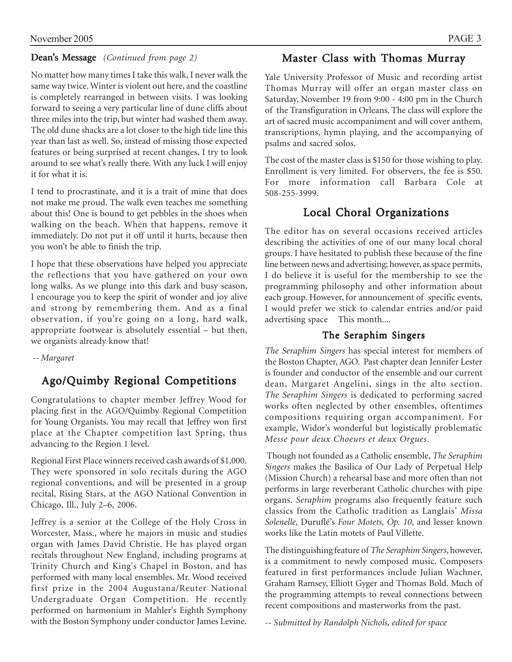## Dean's Message *(Continued from page 2)*

No matter how many times I take this walk, I never walk the same way twice. Winter is violent out here, and the coastline is completely rearranged in between visits. I was looking forward to seeing a very particular line of dune cliffs about three miles into the trip, but winter had washed them away. The old dune shacks are a lot closer to the high tide line this year than last as well. So, instead of missing those expected features or being surprised at recent changes, I try to look around to see what's really there. With any luck I will enjoy it for what it is.

I tend to procrastinate, and it is a trait of mine that does not make me proud. The walk even teaches me something about this! One is bound to get pebbles in the shoes when walking on the beach. When that happens, remove it immediately. Do not put it off until it hurts, because then you won't be able to finish the trip.

I hope that these observations have helped you appreciate the reflections that you have gathered on your own long walks. As we plunge into this dark and busy season, I encourage you to keep the spirit of wonder and joy alive and strong by remembering them. And as a final observation, if you're going on a long, hard walk, appropriate footwear is absolutely essential – but then, we organists already know that!

 *-- Margaret*

## Ago/Quimby Regional Competitions

Congratulations to chapter member Jeffrey Wood for placing first in the AGO/Quimby Regional Competition for Young Organists. You may recall that Jeffrey won first place at the Chapter competition last Spring, thus advancing to the Region 1 level.

Regional First Place winners received cash awards of \$1,000. They were sponsored in solo recitals during the AGO regional conventions, and will be presented in a group recital, Rising Stars, at the AGO National Convention in Chicago, Ill., July 2–6, 2006.

Jeffrey is a senior at the College of the Holy Cross in Worcester, Mass., where he majors in music and studies organ with James David Christie. He has played organ recitals throughout New England, including programs at Trinity Church and King's Chapel in Boston, and has performed with many local ensembles. Mr. Wood received first prize in the 2004 Augustana/Reuter National Undergraduate Organ Competition. He recently performed on harmonium in Mahler's Eighth Symphony with the Boston Symphony under conductor James Levine.

## Master Class with Thomas Murray

Yale University Professor of Music and recording artist Thomas Murray will offer an organ master class on Saturday, November 19 from 9:00 - 4:00 pm in the Church of the Transfiguration in Orleans. The class will explore the art of sacred music accompaniment and will cover anthem, transcriptions, hymn playing, and the accompanying of psalms and sacred solos.

The cost of the master class is \$150 for those wishing to play. Enrollment is very limited. For observers, the fee is \$50. For more information call Barbara Cole at 508-255-3999.

## Local Choral Organizations Local Choral Organizations

The editor has on several occasions received articles describing the activities of one of our many local choral groups. I have hesitated to publish these because of the fine line between news and advertising; however, as space permits, I do believe it is useful for the membership to see the programming philosophy and other information about each group. However, for announcement of specific events, I would prefer we stick to calendar entries and/or paid advertising space This month....

## The Seraphim Singers

*The Seraphim Singers* has special interest for members of the Boston Chapter, AGO. Past chapter dean Jennifer Lester is founder and conductor of the ensemble and our current dean, Margaret Angelini, sings in the alto section. *The Seraphim Singers* is dedicated to performing sacred works often neglected by other ensembles, oftentimes compositions requiring organ accompaniment. For example, Widor's wonderful but logistically problematic *Messe pour deux Choeurs et deux Orgues*.

 Though not founded as a Catholic ensemble, *The Seraphim Singers* makes the Basilica of Our Lady of Perpetual Help (Mission Church) a rehearsal base and more often than not performs in large reverberant Catholic churches with pipe organs. *Seraphim* programs also frequently feature such classics from the Catholic tradition as Langlais' *Missa Solenelle*, Duruflé's *Four Motets, Op. 10*, and lesser known works like the Latin motets of Paul Villette.

The distinguishing feature of *The Seraphim Singers*, however, is a commitment to newly composed music. Composers featured in first performances include Julian Wachner, Graham Ramsey, Elliott Gyger and Thomas Bold. Much of the programming attempts to reveal connections between recent compositions and masterworks from the past.

*-- Submitted by Randolph Nichols, edited for space*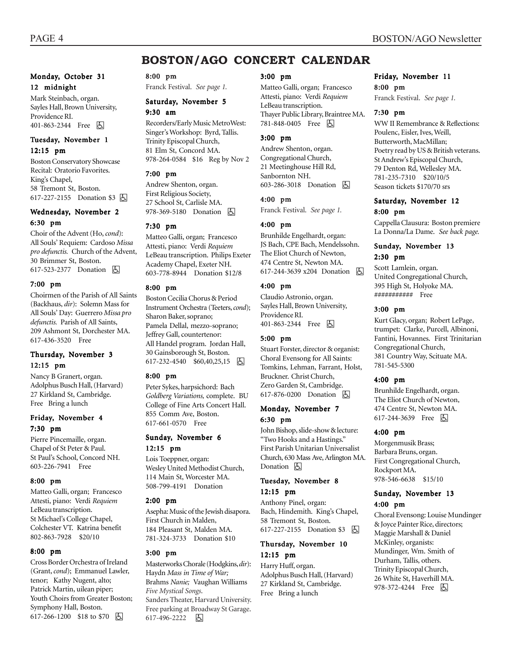## **BOSTON/AGO CONCERT CALENDAR**

#### Monday, October 31 12 midnight

Mark Steinbach, organ. Sayles Hall, Brown University, Providence RI. 401-863-2344 Free 因

#### Tuesday, November 1 12:15 pm

Boston Conservatory Showcase Recital: Oratorio Favorites. King's Chapel, 58 Tremont St, Boston. 617-227-2155 Donation \$3  $\boxed{6}$ 

#### Wednesday, November 2 6:30 pm

Choir of the Advent (Ho, *cond*): All Souls' Requiem: Cardoso *Missa pro defunctis.* Church of the Advent, 30 Brimmer St, Boston. 617-523-2377 Donation **b** 

#### 7:00 pm

Choirmen of the Parish of All Saints (Backhaus, *dir*): Solemn Mass for All Souls' Day: Guerrero *Missa pro defunctis.* Parish of All Saints, 209 Ashmont St, Dorchester MA. 617-436-3520 Free

#### Thursday, November 3 12:15 pm

Nancy B Granert, organ. Adolphus Busch Hall, (Harvard) 27 Kirkland St, Cambridge. Free Bring a lunch

#### Friday, November 4 7:30 pm

Pierre Pincemaille, organ. Chapel of St Peter & Paul. St Paul's School, Concord NH. 603-226-7941 Free

#### 8:00 pm

Matteo Galli, organ; Francesco Attesti, piano: Verdi *Requiem* LeBeau transcription. St Michael's College Chapel, Colchester VT. Katrina benefit 802-863-7928 \$20/10

#### 8:00 pm

Cross Border Orchestra of Ireland (Grant, *cond*); Emmanuel Lawler, tenor; Kathy Nugent, alto; Patrick Martin, uilean piper; Youth Choirs from Greater Boston; Symphony Hall, Boston. 617-266-1200 \$18 to \$70 **b** 

#### 8:00 pm

Franck Festival. *See page 1.*

#### Saturday, November 5 9:30 am

Recorders/Early Music MetroWest: Singer's Workshop: Byrd, Tallis. Trinity Episcopal Church, 81 Elm St, Concord MA. 978-264-0584 \$16 Reg by Nov 2

#### 7:00 pm

Andrew Shenton, organ. First Religious Society, 27 School St, Carlisle MA. 978-369-5180 Donation **b** 

#### 7:30 pm

Matteo Galli, organ; Francesco Attesti, piano: Verdi *Requiem* LeBeau transcription. Philips Exeter Academy Chapel, Exeter NH. 603-778-8944 Donation \$12/8

#### 8:00 pm

Boston Cecilia Chorus & Period Instrument Orchestra (Teeters, *cond*); Sharon Baker, soprano; Pamela Dellal, mezzo-soprano; Jeffrey Gall, countertenor: All Handel program. Jordan Hall, 30 Gainsborough St, Boston. 617-232-4540 \$60,40,25,15 |5

#### 8:00 pm

Peter Sykes, harpsichord: Bach *Goldberg Variations,* complete. BU College of Fine Arts Concert Hall. 855 Comm Ave, Boston. 617-661-0570 Free

#### Sunday, November 6 12:15 pm

Lois Toeppner, organ: Wesley United Methodist Church, 114 Main St, Worcester MA. 508-799-4191 Donation

#### 2:00 pm

Asepha: Music of the Jewish disapora. First Church in Malden, 184 Pleasant St, Malden MA. 781-324-3733 Donation \$10

#### 3:00 pm

Masterworks Chorale (Hodgkins, *dir*): Haydn *Mass in Time of War;* Brahms *Nanie;* Vaughan Williams *Five Mystical Songs*. Sanders Theater, Harvard University. Free parking at Broadway St Garage. 617-496-2222 固

#### 3:00 pm

Matteo Galli, organ; Francesco Attesti, piano: Verdi *Requiem* LeBeau transcription. Thayer Public Library, Braintree MA. 781-848-0405 Free 因

#### 3:00 pm

Andrew Shenton, organ. Congregational Church, 21 Meetinghouse Hill Rd, Sanbornton NH. 603-286-3018 Donation **b** 

#### 4:00 pm

Franck Festival. *See page 1.*

#### 4:00 pm

Brunhilde Engelhardt, organ: JS Bach, CPE Bach, Mendelssohn. The Eliot Church of Newton, 474 Centre St, Newton MA. 617-244-3639 x204 Donation **b** 

#### 4:00 pm

Claudio Astronio, organ. Sayles Hall, Brown University, Providence RI. 401-863-2344 Free **b** 

#### 5:00 pm

Stuart Forster, director & organist: Choral Evensong for All Saints: Tomkins, Lehman, Farrant, Holst, Bruckner. Christ Church, Zero Garden St, Cambridge. 617-876-0200 Donation  $\boxed{6}$ 

#### Monday, November 7 6:30 pm

John Bishop, slide-show & lecture: "Two Hooks and a Hastings." First Parish Unitarian Universalist Church, 630 Mass Ave, Arlington MA. Donation  $\boxed{6}$ 

#### Tuesday, November 8 12:15 pm

Anthony Pinel, organ: Bach, Hindemith. King's Chapel, 58 Tremont St, Boston. 617-227-2155 Donation \$3 因

#### Thursday, November 10 12:15 pm

Harry Huff, organ. Adolphus Busch Hall, (Harvard) 27 Kirkland St, Cambridge. Free Bring a lunch

#### Friday, November 11 8:00 pm

Franck Festival. *See page 1.*

#### 7:30 pm

WW II Remembrance & Reflections: Poulenc, Eisler, Ives, Weill, Butterworth, MacMillan; Poetry read by US & British veterans. St Andrew's Episcopal Church, 79 Denton Rd, Wellesley MA. 781-235-7310 \$20/10/5 Season tickets \$170/70 srs

#### Saturday, November 12 8:00 pm

Cappella Clausura: Boston premiere La Donna/La Dame. *See back page.*

#### Sunday, November 13 2:30 pm

Scott Lamlein, organ. United Congregational Church, 395 High St, Holyoke MA. ########### Free

#### 3:00 pm

Kurt Glacy, organ; Robert LePage, trumpet: Clarke, Purcell, Albinoni, Fantini, Hovannes. First Trinitarian Congregational Church, 381 Country Way, Scituate MA. 781-545-5300

#### 4:00 pm

Brunhilde Engelhardt, organ. The Eliot Church of Newton, 474 Centre St, Newton MA. 617-244-3639 Free **b** 

#### 4:00 pm

Morgenmusik Brass; Barbara Bruns, organ. First Congregational Church, Rockport MA. 978-546-6638 \$15/10

#### Sunday, November 13 4:00 pm

Choral Evensong: Louise Mundinger & Joyce Painter Rice, directors; Maggie Marshall & Daniel McKinley, organists: Mundinger, Wm. Smith of Durham, Tallis, others. Trinity Episcopal Church, 26 White St, Haverhill MA. 978-372-4244 Free **b**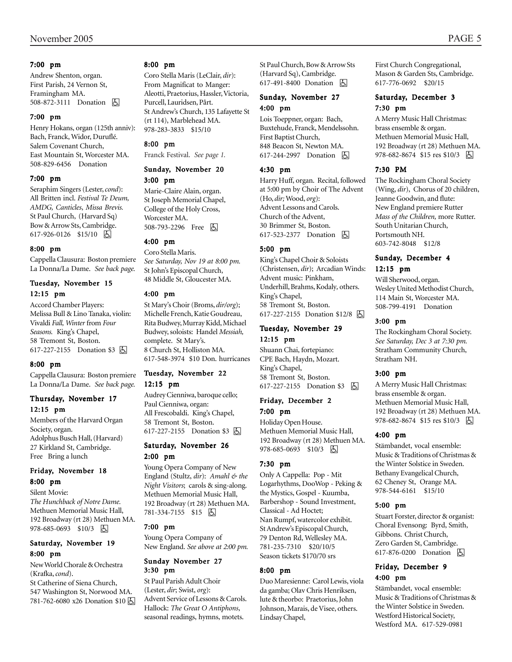#### 7:00 pm

Andrew Shenton, organ. First Parish, 24 Vernon St, Framingham MA. 508-872-3111 Donation **b** 

#### 7:00 pm

Henry Hokans, organ (125th anniv): Bach, Franck, Widor, Duruflé. Salem Covenant Church, East Mountain St, Worcester MA. 508-829-6456 Donation

#### 7:00 pm

Seraphim Singers (Lester, *cond*): All Britten incl. *Festival Te Deum, AMDG, Canticles*, *Missa Brevis.* St Paul Church, (Harvard Sq) Bow & Arrow Sts, Cambridge. 617-926-0126 \$15/10 | 5

#### 8:00 pm

Cappella Clausura: Boston premiere La Donna/La Dame. *See back page.*

#### Tuesday, November 15 12:15 pm

Accord Chamber Players: Melissa Bull & Lino Tanaka, violin: Vivaldi *Fall, Winter* from *Four Seasons.* King's Chapel, 58 Tremont St, Boston. 617-227-2155 Donation \$3 因

#### 8:00 pm

Cappella Clausura: Boston premiere La Donna/La Dame. *See back page.*

#### Thursday, November 17 12:15 pm

Members of the Harvard Organ Society, organ. Adolphus Busch Hall, (Harvard) 27 Kirkland St, Cambridge. Free Bring a lunch

#### Friday, November 18 8:00 pm

Silent Movie:

*The Hunchback of Notre Dame.* Methuen Memorial Music Hall, 192 Broadway (rt 28) Methuen MA. 978-685-0693 \$10/3 因

#### Saturday, November 19 8:00 pm

New World Chorale & Orchestra (Krafka, *cond*).

St Catherine of Siena Church, 547 Washington St, Norwood MA. 781-762-6080 x26 Donation \$10 h

#### 8:00 pm

Coro Stella Maris (LeClair, *dir*): From Magnificat to Manger: Aleotti, Praetorius, Hassler, Victoria, Purcell, Lauridsen, Pårt. St Andrew's Church, 135 Lafayette St (rt 114), Marblehead MA. 978-283-3833 \$15/10

#### 8:00 pm

Franck Festival. *See page 1.*

#### Sunday, November 20 3:00 pm

Marie-Claire Alain, organ. St Joseph Memorial Chapel, College of the Holy Cross, Worcester MA. 508-793-2296 Free 因

#### 4:00 pm

Coro Stella Maris. *See Saturday, Nov 19 at 8:00 pm.* St John's Episcopal Church, 48 Middle St, Gloucester MA.

#### 4:00 pm

St Mary's Choir (Broms, *dir/org*); Michelle French, Katie Goudreau, Rita Budwey, Murray Kidd, Michael Budwey, soloists: Handel *Messiah,* complete. St Mary's. 8 Church St, Holliston MA. 617-548-3974 \$10 Don. hurricanes

#### Tuesday, November 22 12:15 pm

Audrey Cienniwa, baroque cello; Paul Cienniwa, organ: All Frescobaldi. King's Chapel, 58 Tremont St, Boston. 617-227-2155 Donation \$3 因

#### Saturday, November 26 2:00 pm

Young Opera Company of New England (Stultz, *dir*): *Amahl & the Night Visitors*; carols & sing-along. Methuen Memorial Music Hall, 192 Broadway (rt 28) Methuen MA. 781-334-7155 \$15 | 5

#### 7:00 pm

Young Opera Company of New England. *See above at 2:00 pm.*

#### Sunday November 27 3:30 pm

St Paul Parish Adult Choir (Lester, *dir*; Swist, *org*): Advent Service of Lessons & Carols. Hallock: *The Great O Antiphons*, seasonal readings, hymns, motets.

St Paul Church, Bow & Arrow Sts (Harvard Sq), Cambridge. 617-491-8400 Donation **A** 

#### Sunday, November 27 4:00 pm

Lois Toeppner, organ: Bach, Buxtehude, Franck, Mendelssohn. First Baptist Church, 848 Beacon St, Newton MA. 617-244-2997 Donation **b** 

#### 4:30 pm

Harry Huff, organ. Recital, followed at 5:00 pm by Choir of The Advent (Ho, *dir;* Wood, *org*): Advent Lessons and Carols. Church of the Advent, 30 Brimmer St, Boston. 617-523-2377 Donation **b** 

#### 5:00 pm

King's Chapel Choir & Soloists (Christensen, *dir*); Arcadian Winds: Advent music: Pinkham, Underhill, Brahms, Kodaly*,* others. King's Chapel, 58 Tremont St, Boston. 617-227-2155 Donation \$12/8 因

#### Tuesday, November 29 12:15 pm

Shuann Chai, fortepiano: CPE Bach, Haydn, Mozart. King's Chapel, 58 Tremont St, Boston. 617-227-2155 Donation \$3 固

#### Friday, December 2 7:00 pm

Holiday Open House. Methuen Memorial Music Hall, 192 Broadway (rt 28) Methuen MA. 978-685-0693 \$10/3 因

#### 7:30 pm

Only A Cappella: Pop - Mit Logarhythms, DooWop - Peking & the Mystics, Gospel - Kuumba, Barbershop - Sound Investment, Classical - Ad Hoctet; Nan Rumpf, watercolor exhibit. St Andrew's Episcopal Church, 79 Denton Rd, Wellesley MA. 781-235-7310 \$20/10/5 Season tickets \$170/70 srs

#### 8:00 pm

Duo Maresienne: Carol Lewis, viola da gamba; Olav Chris Henriksen, lute & theorbo: Praetorius, John Johnson, Marais, de Visee, others. Lindsay Chapel,

First Church Congregational, Mason & Garden Sts, Cambridge. 617-776-0692 \$20/15

#### Saturday, December 3 7:30 pm

A Merry Music Hall Christmas: brass ensemble & organ. Methuen Memorial Music Hall, 192 Broadway (rt 28) Methuen MA. 978-682-8674 \$15 res \$10/3 | 4

#### 7:30 PM

The Rockingham Choral Society (Wing, *dir*), Chorus of 20 children, Jeanne Goodwin, and flute: New England premiere Rutter *Mass of the Children,* more Rutter. South Unitarian Church, Portsmouth NH. 603-742-8048 \$12/8

#### Sunday, December 4 12:15 pm

Will Sherwood, organ. Wesley United Methodist Church, 114 Main St, Worcester MA. 508-799-4191 Donation

#### 3:00 pm

The Rockingham Choral Society. *See Saturday, Dec 3 at 7:30 pm.* Stratham Community Church, Stratham NH.

#### 3:00 pm

A Merry Music Hall Christmas: brass ensemble & organ. Methuen Memorial Music Hall, 192 Broadway (rt 28) Methuen MA. 978-682-8674 \$15 res \$10/3 | 4

#### 4:00 pm

Stämbandet, vocal ensemble: Music & Traditions of Christmas & the Winter Solstice in Sweden. Bethany Evangelical Church, 62 Cheney St, Orange MA. 978-544-6161 \$15/10

#### 5:00 pm

Stuart Forster, director & organist: Choral Evensong: Byrd, Smith, Gibbons. Christ Church, Zero Garden St, Cambridge. 617-876-0200 Donation  $\Box$ 

#### Friday, December 9 4:00 pm

Stämbandet, vocal ensemble: Music & Traditions of Christmas & the Winter Solstice in Sweden. Westford Historical Society, Westford MA. 617-529-0981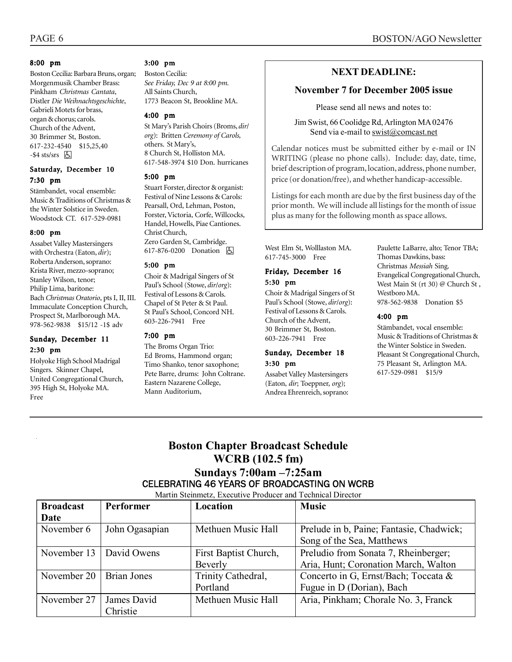#### 8:00 pm

Boston Cecilia: Barbara Bruns, organ; Morgenmusik Chamber Brass: Pinkham *Christmas Cantata*, Distler *Die Weihnachtsgeschichte*, Gabrieli Motets for brass, organ & chorus; carols. Church of the Advent, 30 Brimmer St, Boston. 617-232-4540 \$15,25,40  $-$ \$4 sts/srs  $\boxed{6}$ 

#### Saturday, December 10 7:30 pm

Stämbandet, vocal ensemble: Music & Traditions of Christmas & the Winter Solstice in Sweden. Woodstock CT. 617-529-0981

#### 8:00 pm

Assabet Valley Mastersingers with Orchestra (Eaton, *dir*); Roberta Anderson, soprano: Krista River, mezzo-soprano; Stanley Wilson, tenor; Philip Lima, baritone: Bach *Christmas Oratorio*, pts I, II, III. Immaculate Conception Church, Prospect St, Marlborough MA. 978-562-9838 \$15/12 -1\$ adv

#### Sunday, December 11 2:30 pm

Holyoke High School Madrigal Singers. Skinner Chapel, United Congregational Church, 395 High St, Holyoke MA. Free

#### 3:00 pm

Boston Cecilia: *See Friday, Dec 9 at 8:00 pm.* All Saints Church, 1773 Beacon St, Brookline MA.

#### 4:00 pm

St Mary's Parish Choirs (Broms, *dir*/ *org*): Britten *Ceremony of Carols,* others. St Mary's, 8 Church St, Holliston MA. 617-548-3974 \$10 Don. hurricanes

#### 5:00 pm

Stuart Forster, director & organist: Festival of Nine Lessons & Carols: Pearsall, Ord, Lehman, Poston, Forster, Victoria, Corfe, Willcocks, Handel, Howells, Piae Cantiones. Christ Church, Zero Garden St, Cambridge. 617-876-0200 Donation **b** 

#### 5:00 pm

Choir & Madrigal Singers of St Paul's School (Stowe, *dir*/*org*): Festival of Lessons & Carols. Chapel of St Peter & St Paul. St Paul's School, Concord NH. 603-226-7941 Free

#### 7:00 pm

The Broms Organ Trio: Ed Broms, Hammond organ; Timo Shanko, tenor saxophone; Pete Barre, drums: John Coltrane. Eastern Nazarene College, Mann Auditorium,

## **NEXT DEADLINE:**

#### **November 7 for December 2005 issue**

Please send all news and notes to:

Jim Swist, 66 Coolidge Rd, Arlington MA 02476 Send via e-mail to swist@comcast.net .

Calendar notices must be submitted either by e-mail or IN WRITING (please no phone calls). Include: day, date, time, brief description of program, location, address, phone number, price (or donation/free), and whether handicap-accessible.

Listings for each month are due by the first business day of the prior month. We will include all listings for the month of issue plus as many for the following month as space allows.

West Elm St, Wolllaston MA. 617-745-3000 Free

#### Friday, December 16 5:30 pm

Choir & Madrigal Singers of St Paul's School (Stowe, *dir*/*org*): Festival of Lessons & Carols. Church of the Advent, 30 Brimmer St, Boston. 603-226-7941 Free

#### Sunday, December 18 3:30 pm

Assabet Valley Mastersingers (Eaton, *dir*; Toeppner, *org*); Andrea Ehrenreich, soprano: Paulette LaBarre, alto; Tenor TBA; Thomas Dawkins, bass: Christmas *Messiah* Sing. Evangelical Congregational Church, West Main St (rt 30) @ Church St , Westboro MA. 978-562-9838 Donation \$5

#### 4:00 pm

Stämbandet, vocal ensemble: Music & Traditions of Christmas & the Winter Solstice in Sweden. Pleasant St Congregational Church, 75 Pleasant St, Arlington MA. 617-529-0981 \$15/9

## **Boston Chapter Broadcast Schedule WCRB (102.5 fm) Sundays 7:00am –7:25am**  CELEBRATING 46 YEARS OF BROADCASTING ON WCRB

Martin Steinmetz, Executive Producer and Technical Director

| <b>Broadcast</b>          | Performer      | Location              | <b>Music</b>                             |
|---------------------------|----------------|-----------------------|------------------------------------------|
| Date                      |                |                       |                                          |
| November 6                | John Ogasapian | Methuen Music Hall    | Prelude in b, Paine; Fantasie, Chadwick; |
|                           |                |                       | Song of the Sea, Matthews                |
| November 13   David Owens |                | First Baptist Church, | Preludio from Sonata 7, Rheinberger;     |
|                           |                | Beverly               | Aria, Hunt; Coronation March, Walton     |
| November 20               | Brian Jones    | Trinity Cathedral,    | Concerto in G, Ernst/Bach; Toccata &     |
|                           |                | Portland              | Fugue in D (Dorian), Bach                |
| November 27               | James David    | Methuen Music Hall    | Aria, Pinkham; Chorale No. 3, Franck     |
|                           | Christie       |                       |                                          |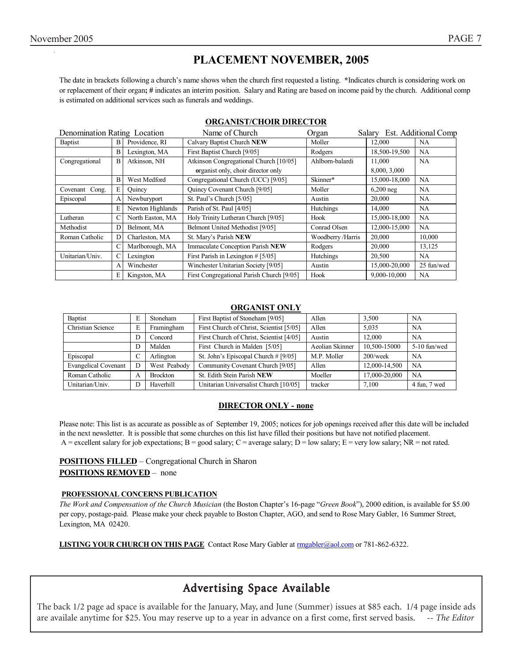## **PLACEMENT NOVEMBER, 2005**

The date in brackets following a church's name shows when the church first requested a listing. **\***Indicates church is considering work on or replacement of their organ**; #** indicates an interim position. Salary and Rating are based on income paid by the church. Additional comp is estimated on additional services such as funerals and weddings.

| Denomination Rating Location |                |                  | Name of Church                            | Organ            | Salary        | Est. Additional Comp |
|------------------------------|----------------|------------------|-------------------------------------------|------------------|---------------|----------------------|
| <b>Baptist</b>               | B              | Providence, RI   | Calvary Baptist Church NEW                | Moller           | 12.000        | <b>NA</b>            |
|                              | B              | Lexington, MA    | First Baptist Church [9/05]               | Rodgers          | 18.500-19.500 | <b>NA</b>            |
| Congregational               | $\overline{B}$ | Atkinson, NH     | Atkinson Congregational Church [10/05]    | Ahlborn-balardi  | 11.000        | <b>NA</b>            |
|                              |                |                  | organist only, choir director only        |                  | 8,000, 3,000  |                      |
|                              | B              | West Medford     | Congregational Church (UCC) [9/05]        | Skinner*         | 15,000-18,000 | <b>NA</b>            |
| Covenant Cong.               | E              | Ouincy           | <b>Ouincy Covenant Church [9/05]</b>      | Moller           | $6,200$ neg   | <b>NA</b>            |
| Episcopal                    | А              | Newburyport      | St. Paul's Church [5/05]                  | Austin           | 20,000        | <b>NA</b>            |
|                              | E              | Newton Highlands | Parish of St. Paul [4/05]                 | Hutchings        | 14.000        | <b>NA</b>            |
| Lutheran                     | C              | North Easton, MA | Holy Trinity Lutheran Church [9/05]       | Hook             | 15,000-18,000 | <b>NA</b>            |
| Methodist                    | D              | Belmont, MA      | Belmont United Methodist [9/05]           | Conrad Olsen     | 12,000-15,000 | <b>NA</b>            |
| Roman Catholic               | D              | Charleston, MA   | St. Mary's Parish NEW                     | Woodberry/Harris | 20,000        | 10,000               |
|                              | C              | Marlborough, MA  | Immaculate Conception Parish NEW          | Rodgers          | 20,000        | 13,125               |
| Unitarian/Univ.              |                | Lexington        | First Parish in Lexington # [5/05]        | Hutchings        | 20,500        | NA                   |
|                              | А              | Winchester       | Winchester Unitarian Society [9/05]       | Austin           | 15,000-20,000 | 25 fun/wed           |
|                              | E              | Kingston, MA     | First Congregational Parish Church [9/05] | Hook             | 9,000-10,000  | <b>NA</b>            |

#### **ORGANIST/CHOIR DIRECTOR**

#### **ORGANIST ONLY**

| Baptist                     | E | Stoneham        | First Baptist of Stoneham [9/05]         | Allen           | 3.500         | <b>NA</b>    |
|-----------------------------|---|-----------------|------------------------------------------|-----------------|---------------|--------------|
| Christian Science           | E | Framingham      | First Church of Christ, Scientist [5/05] | Allen           | 5.035         | NA           |
|                             | D | Concord         | First Church of Christ, Scientist [4/05] | Austin          | 12.000        | NA           |
|                             | D | Malden          | First Church in Malden [5/05]            | Aeolian Skinner | 10,500-15000  | 5-10 fun/wed |
| Episcopal                   | C | Arlington       | St. John's Episcopal Church # [9/05]     | M.P. Moller     | $200$ /week   | <b>NA</b>    |
| <b>Evangelical Covenant</b> | D | West Peabody    | Community Covenant Church [9/05]         | Allen           | 12,000-14,500 | <b>NA</b>    |
| Roman Catholic              | A | <b>Brockton</b> | St. Edith Stein Parish NEW               | Moeller         | 17,000-20,000 | <b>NA</b>    |
| Unitarian/Univ.             | D | Haverhill       | Unitarian Universalist Church [10/05]    | tracker         | 7.100         | 4 fun, 7 wed |

#### **DIRECTOR ONLY - none**

Please note: This list is as accurate as possible as of September 19, 2005; notices for job openings received after this date will be included in the next newsletter. It is possible that some churches on this list have filled their positions but have not notified placement. A = excellent salary for job expectations; B = good salary; C = average salary; D = low salary; E = very low salary; NR = not rated.

**POSITIONS FILLED** – Congregational Church in Sharon **POSITIONS REMOVED** – none

#### **PROFESSIONAL CONCERNS PUBLICATION**

*The Work and Compensation of the Church Musician* (the Boston Chapter's 16-page "*Green Book*"), 2000 edition, is available for \$5.00 per copy, postage-paid. Please make your check payable to Boston Chapter, AGO, and send to Rose Mary Gabler, 16 Summer Street, Lexington, MA 02420.

**LISTING YOUR CHURCH ON THIS PAGE** Contact Rose Mary Gabler at rmgabler@aol.com or 781-862-6322.

## Advertising Space Available

The back 1/2 page ad space is available for the January, May, and June (Summer) issues at \$85 each. 1/4 page inside ads are availale anytime for \$25. You may reserve up to a year in advance on a first come, first served basis. *-- The Editor*